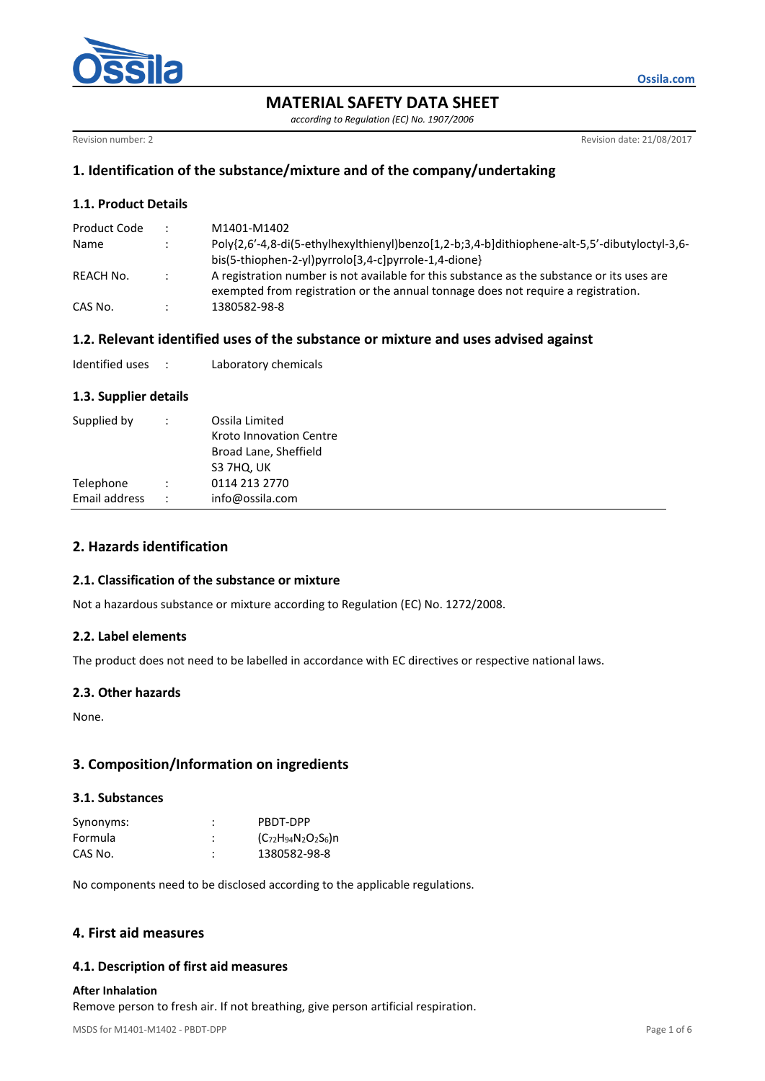

**MATERIAL SAFETY DATA SHEET**

*according to Regulation (EC) No. 1907/2006*

Revision number: 2 **Revision date: 21/08/2017** 

**Ossila.com**

# **1. Identification of the substance/mixture and of the company/undertaking**

# **1.1. Product Details**

|                      | M1401-M1402                                                                                   |
|----------------------|-----------------------------------------------------------------------------------------------|
|                      | Poly{2,6'-4,8-di(5-ethylhexylthienyl)benzo[1,2-b;3,4-b]dithiophene-alt-5,5'-dibutyloctyl-3,6- |
|                      | bis(5-thiophen-2-yl)pyrrolo[3,4-c]pyrrole-1,4-dione}                                          |
| $\ddot{\phantom{0}}$ | A registration number is not available for this substance as the substance or its uses are    |
|                      | exempted from registration or the annual tonnage does not require a registration.             |
|                      | 1380582-98-8                                                                                  |
|                      |                                                                                               |

## **1.2. Relevant identified uses of the substance or mixture and uses advised against**

| Identified uses |  | Laboratory chemicals |
|-----------------|--|----------------------|
|-----------------|--|----------------------|

### **1.3. Supplier details**

| Supplied by<br>$\ddot{\phantom{0}}$   | Ossila Limited<br>Kroto Innovation Centre<br>Broad Lane, Sheffield<br>S3 7HQ, UK |
|---------------------------------------|----------------------------------------------------------------------------------|
| Telephone                             | 0114 213 2770                                                                    |
| Email address<br>$\ddot{\phantom{1}}$ | info@ossila.com                                                                  |

# **2. Hazards identification**

### **2.1. Classification of the substance or mixture**

Not a hazardous substance or mixture according to Regulation (EC) No. 1272/2008.

### **2.2. Label elements**

The product does not need to be labelled in accordance with EC directives or respective national laws.

### **2.3. Other hazards**

None.

# **3. Composition/Information on ingredients**

## **3.1. Substances**

| Synonyms: | ٠ | PBDT-DPP                         |
|-----------|---|----------------------------------|
| Formula   | ٠ | $(C_{72}H_{94}N_{2}O_{2}S_{6})n$ |
| CAS No.   | ٠ | 1380582-98-8                     |

No components need to be disclosed according to the applicable regulations.

# **4. First aid measures**

# **4.1. Description of first aid measures**

### **After Inhalation**

Remove person to fresh air. If not breathing, give person artificial respiration.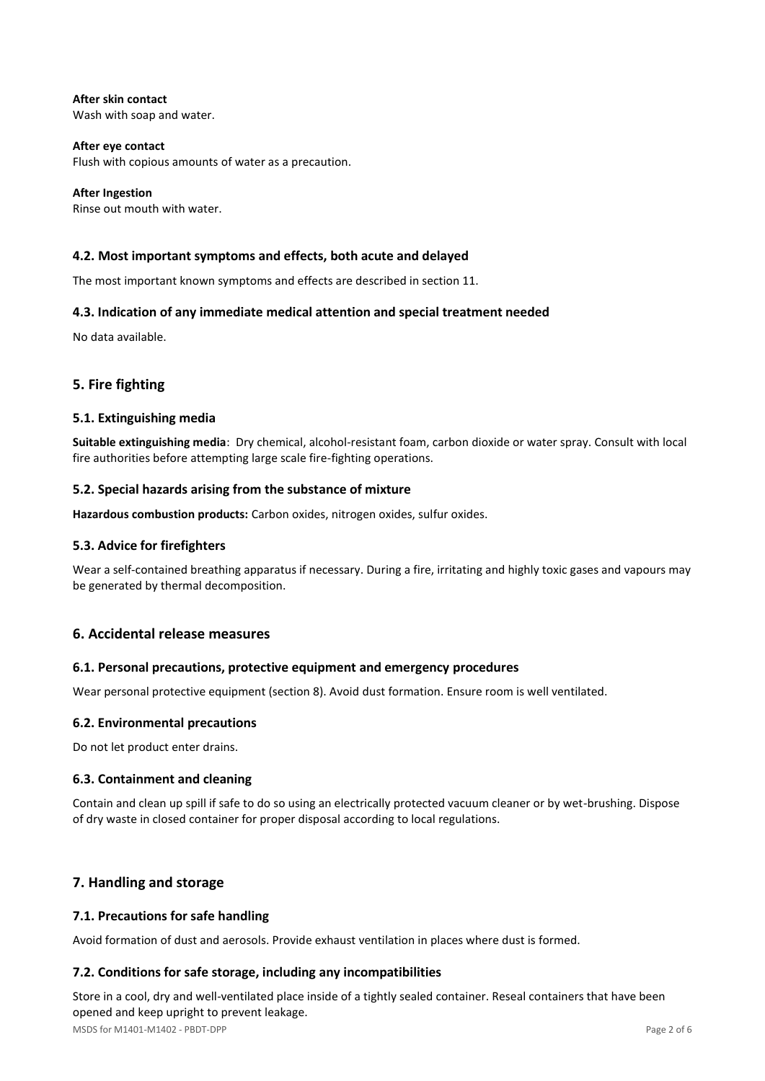**After skin contact** Wash with soap and water.

**After eye contact** Flush with copious amounts of water as a precaution.

**After Ingestion** Rinse out mouth with water.

# **4.2. Most important symptoms and effects, both acute and delayed**

The most important known symptoms and effects are described in section 11.

# **4.3. Indication of any immediate medical attention and special treatment needed**

No data available.

# **5. Fire fighting**

## **5.1. Extinguishing media**

**Suitable extinguishing media**: Dry chemical, alcohol-resistant foam, carbon dioxide or water spray. Consult with local fire authorities before attempting large scale fire-fighting operations.

## **5.2. Special hazards arising from the substance of mixture**

**Hazardous combustion products:** Carbon oxides, nitrogen oxides, sulfur oxides.

# **5.3. Advice for firefighters**

Wear a self-contained breathing apparatus if necessary. During a fire, irritating and highly toxic gases and vapours may be generated by thermal decomposition.

# **6. Accidental release measures**

### **6.1. Personal precautions, protective equipment and emergency procedures**

Wear personal protective equipment (section 8). Avoid dust formation. Ensure room is well ventilated.

### **6.2. Environmental precautions**

Do not let product enter drains.

### **6.3. Containment and cleaning**

Contain and clean up spill if safe to do so using an electrically protected vacuum cleaner or by wet-brushing. Dispose of dry waste in closed container for proper disposal according to local regulations.

# **7. Handling and storage**

# **7.1. Precautions for safe handling**

Avoid formation of dust and aerosols. Provide exhaust ventilation in places where dust is formed.

### **7.2. Conditions for safe storage, including any incompatibilities**

MSDS for M1401-M1402 - PBDT-DPP Page 2 of 6 Store in a cool, dry and well-ventilated place inside of a tightly sealed container. Reseal containers that have been opened and keep upright to prevent leakage.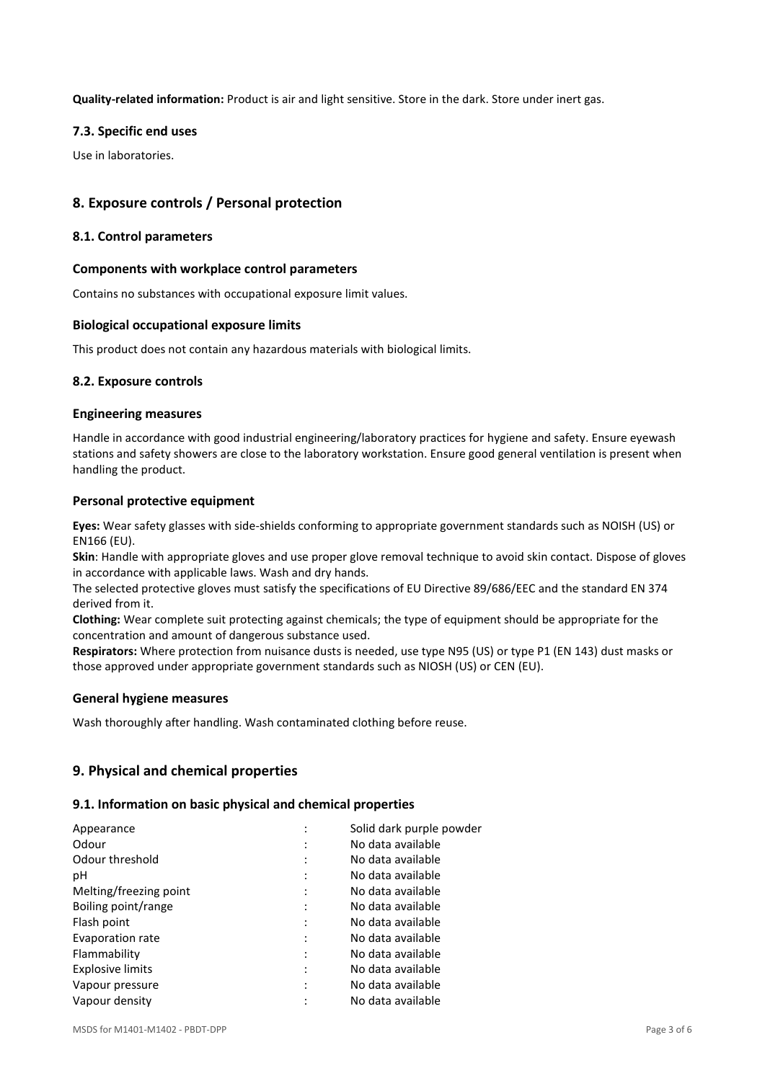**Quality-related information:** Product is air and light sensitive. Store in the dark. Store under inert gas.

#### **7.3. Specific end uses**

Use in laboratories.

# **8. Exposure controls / Personal protection**

#### **8.1. Control parameters**

#### **Components with workplace control parameters**

Contains no substances with occupational exposure limit values.

#### **Biological occupational exposure limits**

This product does not contain any hazardous materials with biological limits.

#### **8.2. Exposure controls**

#### **Engineering measures**

Handle in accordance with good industrial engineering/laboratory practices for hygiene and safety. Ensure eyewash stations and safety showers are close to the laboratory workstation. Ensure good general ventilation is present when handling the product.

#### **Personal protective equipment**

**Eyes:** Wear safety glasses with side-shields conforming to appropriate government standards such as NOISH (US) or EN166 (EU).

**Skin**: Handle with appropriate gloves and use proper glove removal technique to avoid skin contact. Dispose of gloves in accordance with applicable laws. Wash and dry hands.

The selected protective gloves must satisfy the specifications of EU Directive 89/686/EEC and the standard EN 374 derived from it.

**Clothing:** Wear complete suit protecting against chemicals; the type of equipment should be appropriate for the concentration and amount of dangerous substance used.

**Respirators:** Where protection from nuisance dusts is needed, use type N95 (US) or type P1 (EN 143) dust masks or those approved under appropriate government standards such as NIOSH (US) or CEN (EU).

#### **General hygiene measures**

Wash thoroughly after handling. Wash contaminated clothing before reuse.

### **9. Physical and chemical properties**

#### **9.1. Information on basic physical and chemical properties**

| Appearance              |   | Solid dark purple powder |
|-------------------------|---|--------------------------|
|                         |   |                          |
| Odour                   |   | No data available        |
| Odour threshold         |   | No data available        |
| рH                      |   | No data available        |
| Melting/freezing point  |   | No data available        |
| Boiling point/range     |   | No data available        |
| Flash point             |   | No data available        |
| Evaporation rate        | ٠ | No data available        |
| Flammability            |   | No data available        |
| <b>Explosive limits</b> |   | No data available        |
| Vapour pressure         |   | No data available        |
| Vapour density          | ٠ | No data available        |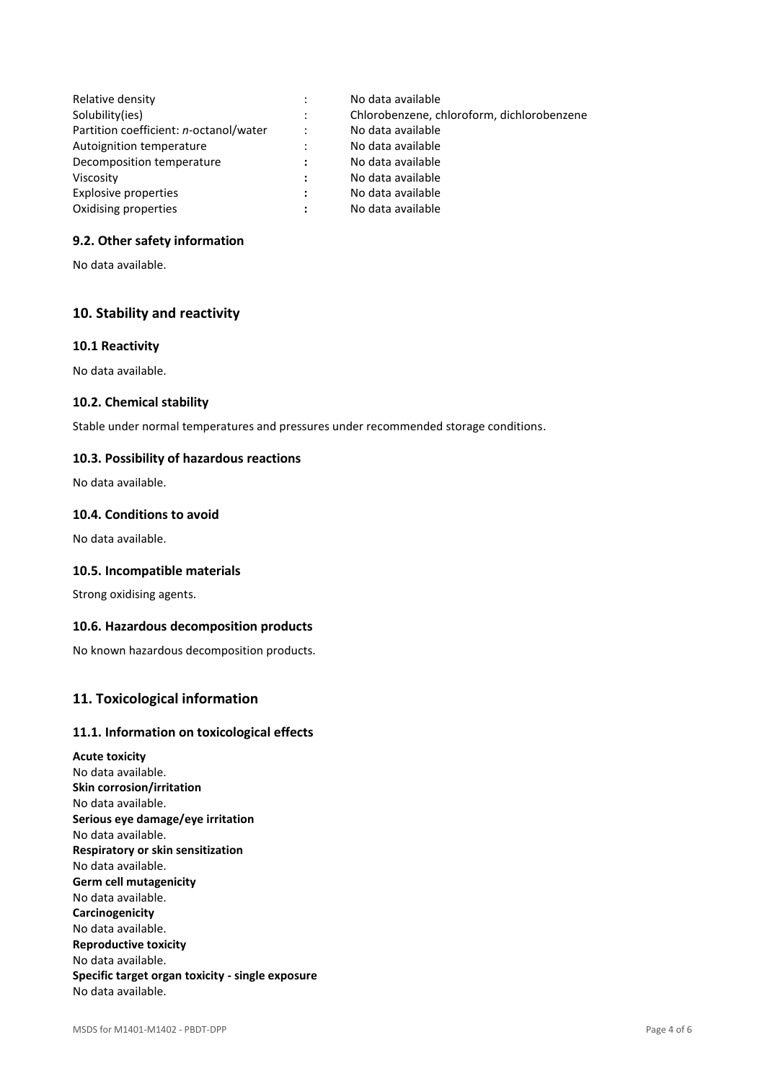| Relative density                       |                      | No data available                          |
|----------------------------------------|----------------------|--------------------------------------------|
| Solubility(ies)                        | $\ddot{\cdot}$       | Chlorobenzene, chloroform, dichlorobenzene |
| Partition coefficient: n-octanol/water | $\ddot{\phantom{a}}$ | No data available                          |
| Autoignition temperature               | $\ddot{\cdot}$       | No data available                          |
| Decomposition temperature              | $\ddot{\phantom{a}}$ | No data available                          |
| Viscosity                              | $\ddot{\phantom{a}}$ | No data available                          |
| Explosive properties                   | $\ddot{\phantom{a}}$ | No data available                          |
| Oxidising properties                   | $\ddot{\phantom{a}}$ | No data available                          |

## **9.2. Other safety information**

No data available.

# **10. Stability and reactivity**

### **10.1 Reactivity**

No data available.

### **10.2. Chemical stability**

Stable under normal temperatures and pressures under recommended storage conditions.

### **10.3. Possibility of hazardous reactions**

No data available.

## **10.4. Conditions to avoid**

No data available.

### **10.5. Incompatible materials**

Strong oxidising agents.

# **10.6. Hazardous decomposition products**

No known hazardous decomposition products.

# **11. Toxicological information**

## **11.1. Information on toxicological effects**

**Acute toxicity** No data available. **Skin corrosion/irritation** No data available. **Serious eye damage/eye irritation** No data available. **Respiratory or skin sensitization** No data available. **Germ cell mutagenicity** No data available. **Carcinogenicity** No data available. **Reproductive toxicity** No data available. **Specific target organ toxicity - single exposure** No data available.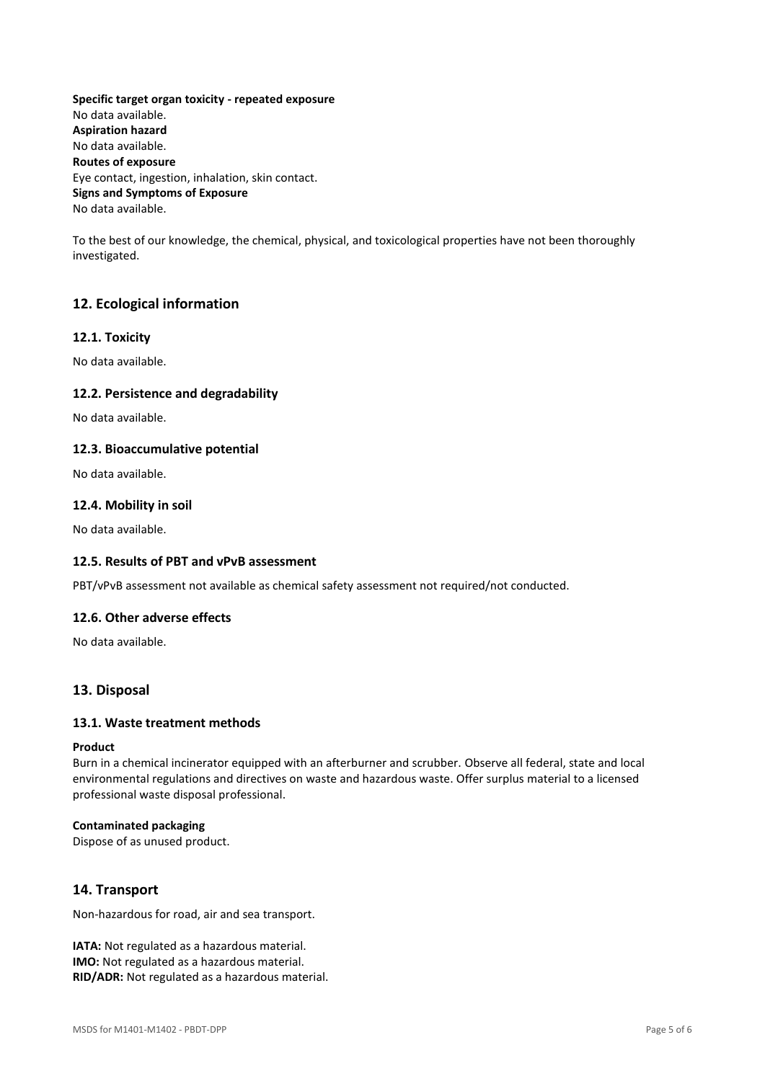**Specific target organ toxicity - repeated exposure** No data available. **Aspiration hazard** No data available. **Routes of exposure** Eye contact, ingestion, inhalation, skin contact. **Signs and Symptoms of Exposure** No data available.

To the best of our knowledge, the chemical, physical, and toxicological properties have not been thoroughly investigated.

# **12. Ecological information**

#### **12.1. Toxicity**

No data available.

### **12.2. Persistence and degradability**

No data available.

#### **12.3. Bioaccumulative potential**

No data available.

#### **12.4. Mobility in soil**

No data available.

## **12.5. Results of PBT and vPvB assessment**

PBT/vPvB assessment not available as chemical safety assessment not required/not conducted.

# **12.6. Other adverse effects**

No data available.

### **13. Disposal**

#### **13.1. Waste treatment methods**

#### **Product**

Burn in a chemical incinerator equipped with an afterburner and scrubber. Observe all federal, state and local environmental regulations and directives on waste and hazardous waste. Offer surplus material to a licensed professional waste disposal professional.

#### **Contaminated packaging**

Dispose of as unused product.

### **14. Transport**

Non-hazardous for road, air and sea transport.

**IATA:** Not regulated as a hazardous material. **IMO:** Not regulated as a hazardous material. **RID/ADR:** Not regulated as a hazardous material.